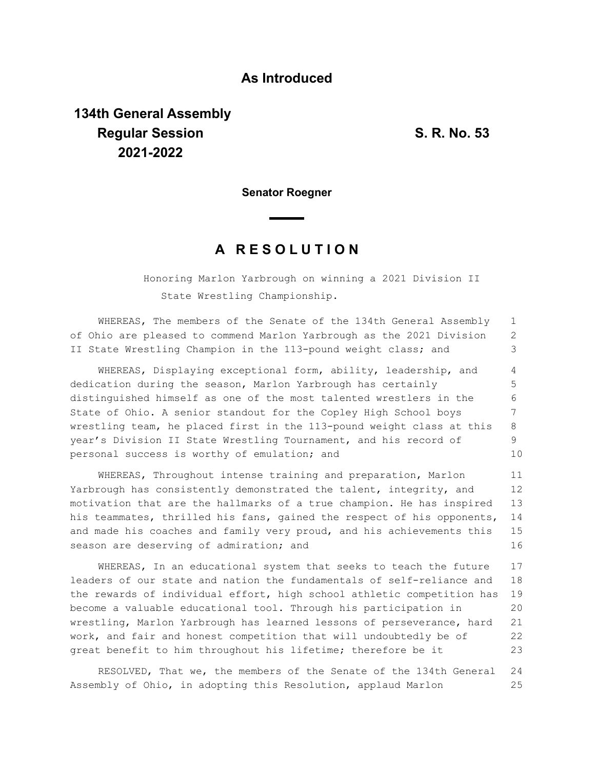## **As Introduced**

## **134th General Assembly Regular Session S. R. No. 53 2021-2022**

**Senator Roegner**

## **A R E S O L U T I O N**

Honoring Marlon Yarbrough on winning a 2021 Division II State Wrestling Championship.

WHEREAS, The members of the Senate of the 134th General Assembly of Ohio are pleased to commend Marlon Yarbrough as the 2021 Division II State Wrestling Champion in the 113-pound weight class; and 1 2 3

WHEREAS, Displaying exceptional form, ability, leadership, and dedication during the season, Marlon Yarbrough has certainly distinguished himself as one of the most talented wrestlers in the State of Ohio. A senior standout for the Copley High School boys wrestling team, he placed first in the 113-pound weight class at this year's Division II State Wrestling Tournament, and his record of personal success is worthy of emulation; and 4 5 6 7 8 9 10

WHEREAS, Throughout intense training and preparation, Marlon Yarbrough has consistently demonstrated the talent, integrity, and motivation that are the hallmarks of a true champion. He has inspired his teammates, thrilled his fans, gained the respect of his opponents, and made his coaches and family very proud, and his achievements this season are deserving of admiration; and 11 12 13 14 15 16

WHEREAS, In an educational system that seeks to teach the future leaders of our state and nation the fundamentals of self-reliance and the rewards of individual effort, high school athletic competition has become a valuable educational tool. Through his participation in wrestling, Marlon Yarbrough has learned lessons of perseverance, hard work, and fair and honest competition that will undoubtedly be of great benefit to him throughout his lifetime; therefore be it 17 18 19 20 21 22 23

RESOLVED, That we, the members of the Senate of the 134th General Assembly of Ohio, in adopting this Resolution, applaud Marlon 24 25